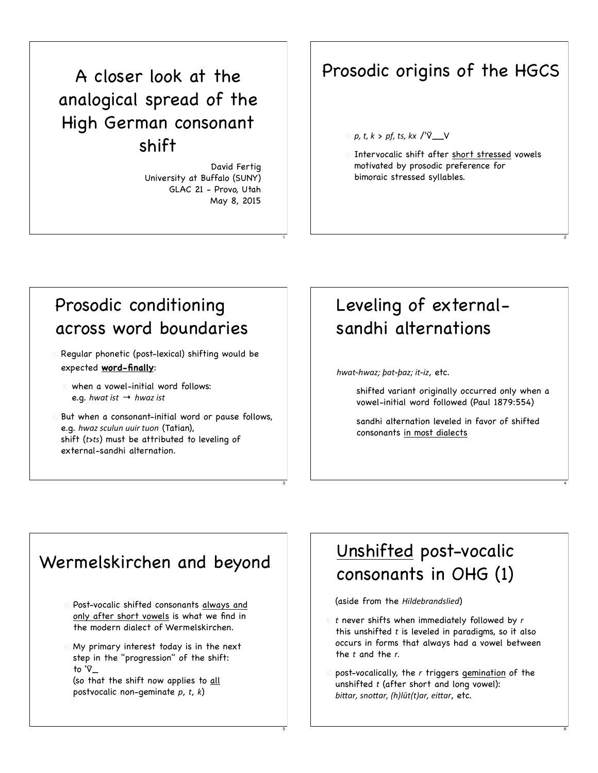## A closer look at the analogical spread of the High German consonant shift

David Fertig University at Buffalo (SUNY) GLAC 21 - Provo, Utah May 8, 2015

1

3

5

## Prosodic origins of the HGCS

#### *!"#\$"#%* > *!&"#\$'"#%(* /ˈV̆\_\_V

**Intervocalic shift after short stressed vowels** motivated by prosodic preference for bimoraic stressed syllables.

2

4

6

## Prosodic conditioning across word boundaries

- Regular phonetic (post-lexical) shifting would be O expected **word-finally**:
	- when a vowel-initial word follows: e.g.  $h$ wat ist  $\rightarrow h$ waz ist
- But when a consonant-initial word or pause follows, e.g. hwaz sculun uuir tuon (Tatian), shift (*\$*>*\$'*) must be attributed to leveling of external-sandhi alternation.

## Leveling of externalsandhi alternations

*)\*+\$***!***)\*+-4#5+\$***!***5+-4#,\$***!***,-*, etc.

shifted variant originally occurred only when a vowel-initial word followed (Paul 1879:554)

sandhi alternation leveled in favor of shifted consonants in most dialects

### Wermelskirchen and beyond

- Post-vocalic shifted consonants always and only after short vowels is what we find in the modern dialect of Wermelskirchen.
- My primary interest today is in the next step in the "progression" of the shift: to ' $\nabla$ (so that the shift now applies to all

postvocalic non-geminate p, t, k)

## Unshifted post-vocalic consonants in OHG (1)

(aside from the *Hildebrandslied*)

- $\circ$  t never shifts when immediately followed by  $r$ this unshifted *t* is leveled in paradigms, so it also occurs in forms that always had a vowel between the *t* and the *r*.
- post-vocalically, the *2* triggers gemination of the unshifted *t* (after short and long vowel): bittar, snottar, (h)lūt(t)ar, eittar, etc.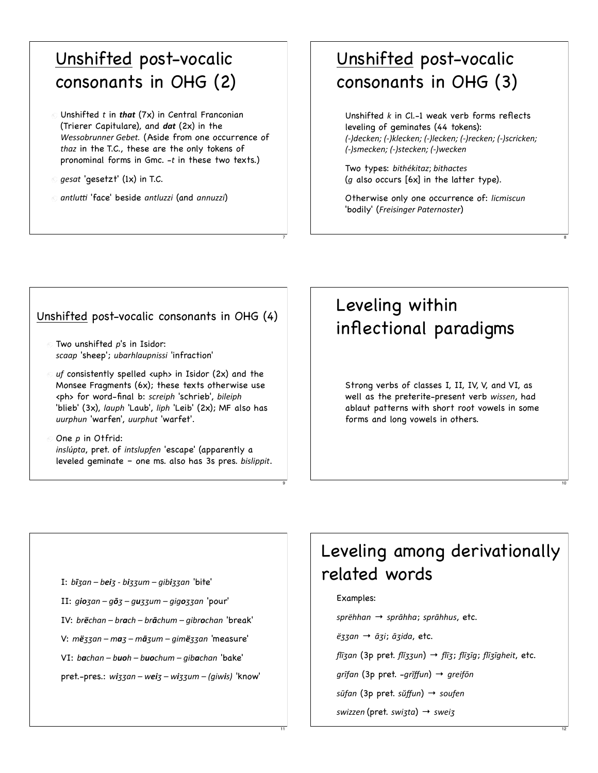## Unshifted post-vocalic consonants in OHG (2)

- $\circ$  Unshifted t in that (7x) in Central Franconian (Trierer Capitulare), and  $dat(2x)$  in the Wessobrunner Gebet. (Aside from one occurrence of thaz in the T.C., these are the only tokens of pronominal forms in Gmc. -t in these two texts.)
- *gesat* 'gesetzt' (1x) in T.C.
- © antlutti 'face' beside antluzzi (and annuzzi)

## Unshifted post-vocalic consonants in OHG (3)

Unshifted  $k$  in Cl.-1 weak verb forms reflects leveling of geminates (44 tokens): (-)decken; (-)klecken; (-)lecken; (-)recken; (-)scricken; (-)smecken; (-)stecken; (-)wecken

Two types: bithékitaz; bithactes  $(g$  also occurs  $[6x]$  in the latter type).

Otherwise only one occurrence of: licmiscun 'bodily' (Freisinger Paternoster)

#### Unshifted post-vocalic consonants in OHG (4)

- $\odot$  Two unshifted p's in Isidor: scaap 'sheep'; ubarhlaupnissi 'infraction'
- $\circ$  uf consistently spelled <uph> in Isidor (2x) and the Monsee Fragments (6x); these texts otherwise use <ph> for word-final b: screiph 'schrieb', bileiph 'blieb' (3x), lauph 'Laub', liph 'Leib' (2x); MF also has uurphun 'warfen', uurphut 'warfet'.
- $\odot$  One  $p$  in Otfrid: inslúpta, pret. of intslupfen 'escape' (apparently a leveled geminate - one ms. also has 3s pres. bislippit.

## Leveling within inflectional paradigms

Strong verbs of classes I, II, IV, V, and VI, as well as the preterite-present verb wissen, had ablaut patterns with short root vowels in some forms and long vowels in others.

I: bīzan - beiz - bizzum - gibizzan 'bite' II: giozan - gōz - guzzum - gigozzan 'pour' IV: brëchan - brach - brāchum - gibrochan 'break' V: më33an - ma3 - mā3um - gimë33an 'measure' VI: bachan - buoh - buochum - gibachan 'bake'  $pret$ -pres.: wizzan – weiz – wizzum – (giwis) 'know'

## Leveling among derivationally related words

#### Examples:

sprëhhan → sprāhha; sprāhhus, etc.

ëzzan → āzi; āzida, etc.

flīzan (3p pret. flĭzzun) → flīz; flīzīg; flīzīgheit, etc.

grīfan (3p pret. -grĭffun) → greifōn

sūfan (3p pret. sŭffun) → soufen

swizzen (pret. swizta)  $\rightarrow$  sweiz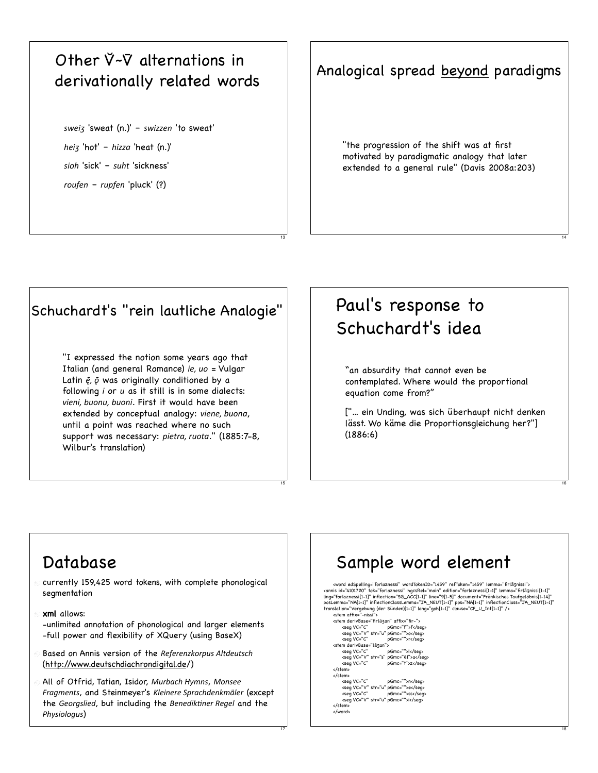### Other  $\breve{\vee}$ - $\breve{\vee}$  alternations in derivationally related words

sweiz 'sweat (n.)' - swizzen 'to sweat' heiz 'hot' - hizza 'heat  $(n.)'$ sioh 'sick' - suht 'sickness' roufen - rupfen 'pluck' (?)

#### Analogical spread beyond paradigms

"the progression of the shift was at first motivated by paradigmatic analogy that later extended to a general rule" (Davis 2008a:203)

### Schuchardt's "rein lautliche Analogie"

"I expressed the notion some years ago that Italian (and general Romance) ie, uo = Vulgar Latin  $\bar{e}$ ,  $\bar{\varrho}$  was originally conditioned by a following i or u as it still is in some dialects: vieni, buonu, buoni. First it would have been extended by conceptual analogy: viene, buona, until a point was reached where no such support was necessary: pietra, ruota." (1885:7-8, Wilbur's translation)

## Paul's response to Schuchardt's idea

"an absurdity that cannot even be contemplated. Where would the proportional equation come from?"

["... ein Unding, was sich überhaupt nicht denken lässt. Wo käme die Proportionsgleichung her?"]  $(1886:6)$ 

### Database

- currently 159,425 word tokens, with complete phonological segmentation
- xml allows: -unlimited annotation of phonological and larger elements -full power and flexibility of XQuery (using BaseX)
- Based on Annis version of the Referenzkorpus Altdeutsch (http://www.deutschdiachrondigital.de/)
- All of Otfrid, Tatian, Isidor, Murbach Hymns, Monsee Fragments, and Steinmeyer's Kleinere Sprachdenkmäler (except the Georgslied, but including the Benediktiner Regel and the Physiologus)

## Sample word element

 $\label{eq:1} $$\hspace{-1.5em}\n (word edSpelling="forlaznessi" wordTokenID="1459" refToken="1459" lemma="find3nissi"s  
\n (and a "4101720" tok="forlaznessi" hgesRel="main" edition="forlaznessi[1-1]" lemma="find3nissi[1-1]" means  
\n (if a "4101720" inflection="ScO(I.-1)" underier@T-3" domain="find3nissi="GA_S1000151-41" pass  
\n (if a "4" region="600150-600015000000000000000000000000$ 

<stem derivBase="firlāzan" affix="fir-"> <seg VC="C" pGmc="f">f</seg><br><seg VC="V" str="u" pGmc="">o</seg> pGmc="">r</seg> <seg VC="C" pGmc="">l</seg><br><seg VC="C" pGmc="">l</seg> <seg VC="C"<br></stem> pGmc="t">z</seg> </stem>  $\lambda$  /stams </word>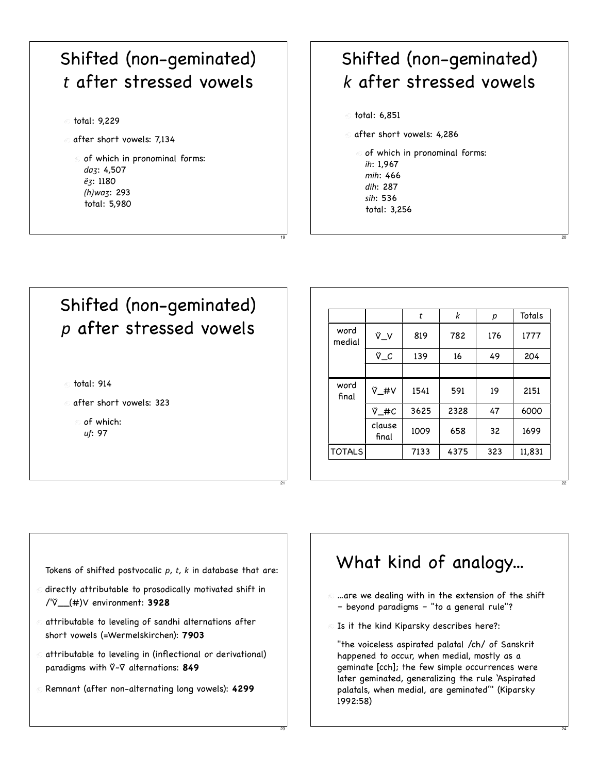# Shifted (non-geminated) *\$* after stressed vowels total: 9,229

- o after short vowels: 7,134
	- of which in pronominal forms: daz: 4,507  $\ddot{e}_5$ : 1180 *<)=\*+I*: 293 total: 5,980

## Shifted (non-geminated) *%* after stressed vowels

total: 6,851

19

21

23

- after short vowels: 4,286
- of which in pronominal forms: *,)*: 1,967 *D,)*: 466 *7,)*: 287 *',)*: 536 total: 3,256



|                |                 | t    | k    | р   | Totals |
|----------------|-----------------|------|------|-----|--------|
| word<br>medial | νّ_ν            | 819  | 782  | 176 | 1777   |
|                | Ϋ_C             | 139  | 16   | 49  | 204    |
|                |                 |      |      |     |        |
| word<br>final  | <b>V_#V</b>     | 1541 | 591  | 19  | 2151   |
|                | V_#C            | 3625 | 2328 | 47  | 6000   |
|                | clause<br>final | 1009 | 658  | 32  | 1699   |
| <b>TOTALS</b>  |                 | 7133 | 4375 | 323 | 11,831 |

20

22

24

Tokens of shifted postvocalic p, t, k in database that are:

- $\odot$  directly attributable to prosodically motivated shift in /ˈV̆\_\_(#)V environment: **3928**
- $\odot$  attributable to leveling of sandhi alternations after short vowels (=Wermelskirchen): **7903**
- attributable to leveling in (inflectional or derivational) paradigms with V**̆ <sup>~</sup>**V̄ alternations: **849**
- Remnant (after non-alternating long vowels): **4299**

## What kind of analogy...

- $<sub>0</sub>$  ...are we dealing with in the extension of the shift</sub> – beyond paradigms – "to a general rule"?
- Is it the kind Kiparsky describes here?:

"the voiceless aspirated palatal /ch/ of Sanskrit happened to occur, when medial, mostly as a geminate [cch]; the few simple occurrences were later geminated, generalizing the rule 'Aspirated palatals, when medial, are geminated'" (Kiparsky 1992:58)